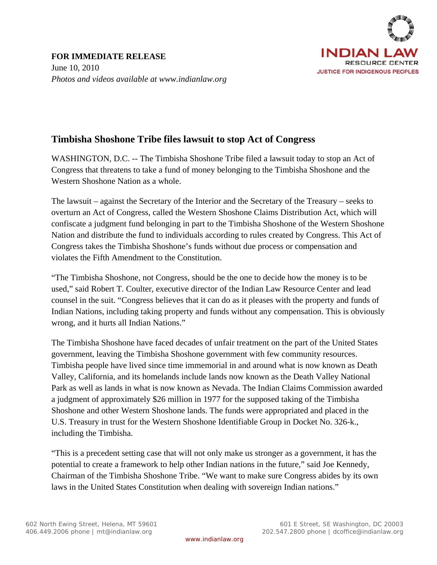

## **Timbisha Shoshone Tribe files lawsuit to stop Act of Congress**

WASHINGTON, D.C. -- The Timbisha Shoshone Tribe filed a lawsuit today to stop an Act of Congress that threatens to take a fund of money belonging to the Timbisha Shoshone and the Western Shoshone Nation as a whole.

The lawsuit – against the Secretary of the Interior and the Secretary of the Treasury – seeks to overturn an Act of Congress, called the Western Shoshone Claims Distribution Act, which will confiscate a judgment fund belonging in part to the Timbisha Shoshone of the Western Shoshone Nation and distribute the fund to individuals according to rules created by Congress. This Act of Congress takes the Timbisha Shoshone's funds without due process or compensation and violates the Fifth Amendment to the Constitution.

"The Timbisha Shoshone, not Congress, should be the one to decide how the money is to be used," said Robert T. Coulter, executive director of the Indian Law Resource Center and lead counsel in the suit. "Congress believes that it can do as it pleases with the property and funds of Indian Nations, including taking property and funds without any compensation. This is obviously wrong, and it hurts all Indian Nations."

The Timbisha Shoshone have faced decades of unfair treatment on the part of the United States government, leaving the Timbisha Shoshone government with few community resources. Timbisha people have lived since time immemorial in and around what is now known as Death Valley, California, and its homelands include lands now known as the Death Valley National Park as well as lands in what is now known as Nevada. The Indian Claims Commission awarded a judgment of approximately \$26 million in 1977 for the supposed taking of the Timbisha Shoshone and other Western Shoshone lands. The funds were appropriated and placed in the U.S. Treasury in trust for the Western Shoshone Identifiable Group in Docket No. 326-k., including the Timbisha.

"This is a precedent setting case that will not only make us stronger as a government, it has the potential to create a framework to help other Indian nations in the future," said Joe Kennedy, Chairman of the Timbisha Shoshone Tribe. "We want to make sure Congress abides by its own laws in the United States Constitution when dealing with sovereign Indian nations."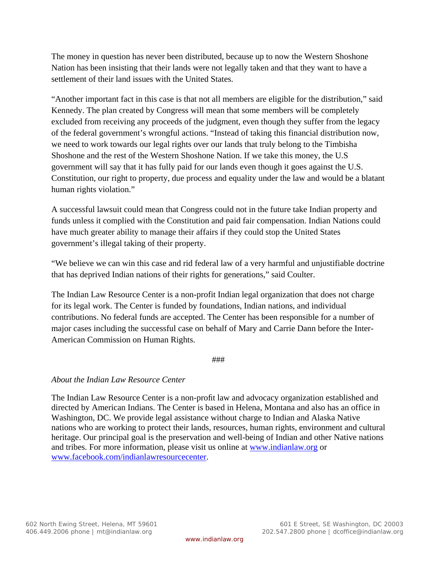The money in question has never been distributed, because up to now the Western Shoshone Nation has been insisting that their lands were not legally taken and that they want to have a settlement of their land issues with the United States.

"Another important fact in this case is that not all members are eligible for the distribution," said Kennedy. The plan created by Congress will mean that some members will be completely excluded from receiving any proceeds of the judgment, even though they suffer from the legacy of the federal government's wrongful actions. "Instead of taking this financial distribution now, we need to work towards our legal rights over our lands that truly belong to the Timbisha Shoshone and the rest of the Western Shoshone Nation. If we take this money, the U.S government will say that it has fully paid for our lands even though it goes against the U.S. Constitution, our right to property, due process and equality under the law and would be a blatant human rights violation."

A successful lawsuit could mean that Congress could not in the future take Indian property and funds unless it complied with the Constitution and paid fair compensation. Indian Nations could have much greater ability to manage their affairs if they could stop the United States government's illegal taking of their property.

"We believe we can win this case and rid federal law of a very harmful and unjustifiable doctrine that has deprived Indian nations of their rights for generations," said Coulter.

The Indian Law Resource Center is a non-profit Indian legal organization that does not charge for its legal work. The Center is funded by foundations, Indian nations, and individual contributions. No federal funds are accepted. The Center has been responsible for a number of major cases including the successful case on behalf of Mary and Carrie Dann before the Inter-American Commission on Human Rights.

###

## *About the Indian Law Resource Center*

The Indian Law Resource Center is a non-profit law and advocacy organization established and directed by American Indians. The Center is based in Helena, Montana and also has an office in Washington, DC. We provide legal assistance without charge to Indian and Alaska Native nations who are working to protect their lands, resources, human rights, environment and cultural heritage. Our principal goal is the preservation and well-being of Indian and other Native nations and tribes. For more information, please visit us online at www.indianlaw.org or www.facebook.com/indianlawresourcecenter.